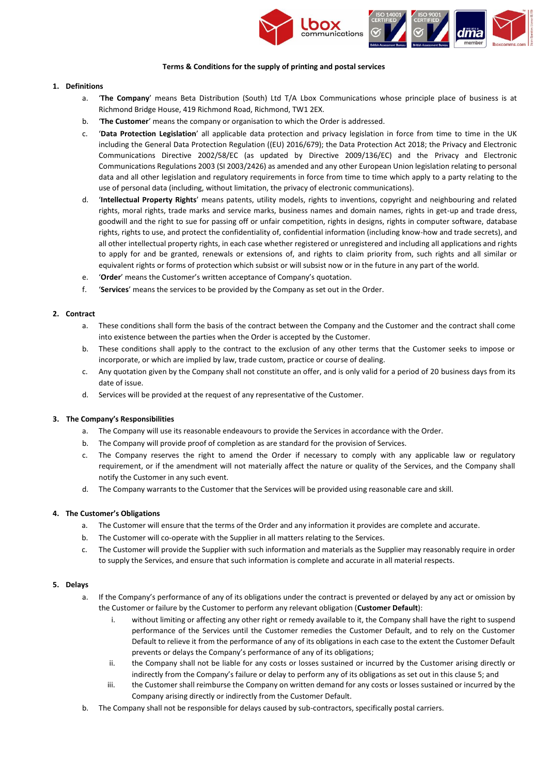

#### **Terms & Conditions for the supply of printing and postal services**

#### **1. Definitions**

- a. '**The Company**' means Beta Distribution (South) Ltd T/A Lbox Communications whose principle place of business is at Richmond Bridge House, 419 Richmond Road, Richmond, TW1 2EX.
- b. '**The Customer**' means the company or organisation to which the Order is addressed.
- c. '**Data Protection Legislation**' all applicable data protection and privacy legislation in force from time to time in the UK including the General Data Protection Regulation ((EU) 2016/679); the Data Protection Act 2018; the Privacy and Electronic Communications Directive 2002/58/EC (as updated by Directive 2009/136/EC) and the Privacy and Electronic Communications Regulations 2003 (SI 2003/2426) as amended and any other European Union legislation relating to personal data and all other legislation and regulatory requirements in force from time to time which apply to a party relating to the use of personal data (including, without limitation, the privacy of electronic communications).
- d. '**Intellectual Property Rights**' means patents, utility models, rights to inventions, copyright and neighbouring and related rights, moral rights, trade marks and service marks, business names and domain names, rights in get-up and trade dress, goodwill and the right to sue for passing off or unfair competition, rights in designs, rights in computer software, database rights, rights to use, and protect the confidentiality of, confidential information (including know-how and trade secrets), and all other intellectual property rights, in each case whether registered or unregistered and including all applications and rights to apply for and be granted, renewals or extensions of, and rights to claim priority from, such rights and all similar or equivalent rights or forms of protection which subsist or will subsist now or in the future in any part of the world.
- e. '**Order**' means the Customer's written acceptance of Company's quotation.
- f. '**Services**' means the services to be provided by the Company as set out in the Order.

### **2. Contract**

- a. These conditions shall form the basis of the contract between the Company and the Customer and the contract shall come into existence between the parties when the Order is accepted by the Customer.
- b. These conditions shall apply to the contract to the exclusion of any other terms that the Customer seeks to impose or incorporate, or which are implied by law, trade custom, practice or course of dealing.
- c. Any quotation given by the Company shall not constitute an offer, and is only valid for a period of 20 business days from its date of issue.
- d. Services will be provided at the request of any representative of the Customer.

### **3. The Company's Responsibilities**

- a. The Company will use its reasonable endeavours to provide the Services in accordance with the Order.
- b. The Company will provide proof of completion as are standard for the provision of Services.
- c. The Company reserves the right to amend the Order if necessary to comply with any applicable law or regulatory requirement, or if the amendment will not materially affect the nature or quality of the Services, and the Company shall notify the Customer in any such event.
- d. The Company warrants to the Customer that the Services will be provided using reasonable care and skill.

### **4. The Customer's Obligations**

- a. The Customer will ensure that the terms of the Order and any information it provides are complete and accurate.
- b. The Customer will co-operate with the Supplier in all matters relating to the Services.
- c. The Customer will provide the Supplier with such information and materials as the Supplier may reasonably require in order to supply the Services, and ensure that such information is complete and accurate in all material respects.

### <span id="page-0-0"></span>**5. Delays**

- a. If the Company's performance of any of its obligations under the contract is prevented or delayed by any act or omission by the Customer or failure by the Customer to perform any relevant obligation (**Customer Default**):
	- i. without limiting or affecting any other right or remedy available to it, the Company shall have the right to suspend performance of the Services until the Customer remedies the Customer Default, and to rely on the Customer Default to relieve it from the performance of any of its obligations in each case to the extent the Customer Default prevents or delays the Company's performance of any of its obligations;
	- ii. the Company shall not be liable for any costs or losses sustained or incurred by the Customer arising directly or indirectly from the Company's failure or delay to perform any of its obligations as set out in this claus[e 5;](#page-0-0) and
	- iii. the Customer shall reimburse the Company on written demand for any costs or losses sustained or incurred by the Company arising directly or indirectly from the Customer Default.
- b. The Company shall not be responsible for delays caused by sub-contractors, specifically postal carriers.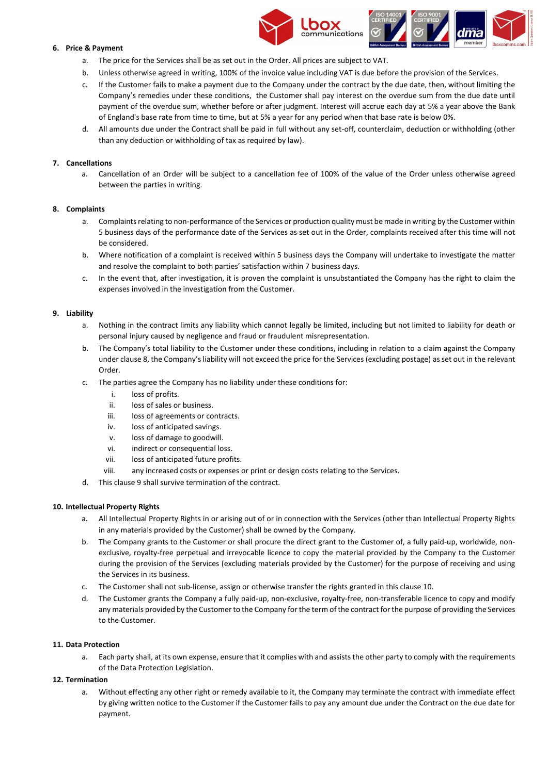



# **6. Price & Payment**

- a. The price for the Services shall be as set out in the Order. All prices are subject to VAT.
- b. Unless otherwise agreed in writing, 100% of the invoice value including VAT is due before the provision of the Services.
- c. If the Customer fails to make a payment due to the Company under the contract by the due date, then, without limiting the Company's remedies under these conditions, the Customer shall pay interest on the overdue sum from the due date until payment of the overdue sum, whether before or after judgment. Interest will accrue each day at 5% a year above the Bank of England's base rate from time to time, but at 5% a year for any period when that base rate is below 0%.
- d. All amounts due under the Contract shall be paid in full without any set-off, counterclaim, deduction or withholding (other than any deduction or withholding of tax as required by law).

# **7. Cancellations**

a. Cancellation of an Order will be subject to a cancellation fee of 100% of the value of the Order unless otherwise agreed between the parties in writing.

### <span id="page-1-0"></span>**8. Complaints**

- a. Complaints relating to non-performance of the Services or production quality must be made in writing by the Customer within 5 business days of the performance date of the Services as set out in the Order, complaints received after this time will not be considered.
- b. Where notification of a complaint is received within 5 business days the Company will undertake to investigate the matter and resolve the complaint to both parties' satisfaction within 7 business days.
- c. In the event that, after investigation, it is proven the complaint is unsubstantiated the Company has the right to claim the expenses involved in the investigation from the Customer.

# <span id="page-1-1"></span>**9. Liability**

- a. Nothing in the contract limits any liability which cannot legally be limited, including but not limited to liability for death or personal injury caused by negligence and fraud or fraudulent misrepresentation.
- b. The Company's total liability to the Customer under these conditions, including in relation to a claim against the Company under claus[e 8](#page-1-0), the Company's liability will not exceed the price for the Services (excluding postage) as set out in the relevant Order.
- c. The parties agree the Company has no liability under these conditions for:
	- i. loss of profits.
	- ii. loss of sales or business.
	- iii. loss of agreements or contracts.
	- iv. loss of anticipated savings.
	- v. loss of damage to goodwill.
	- vi. indirect or consequential loss.
	- vii. loss of anticipated future profits.
	- viii. any increased costs or expenses or print or design costs relating to the Services.
- d. This clause [9](#page-1-1) shall survive termination of the contract.

## <span id="page-1-2"></span>**10. Intellectual Property Rights**

- a. All Intellectual Property Rights in or arising out of or in connection with the Services (other than Intellectual Property Rights in any materials provided by the Customer) shall be owned by the Company.
- b. The Company grants to the Customer or shall procure the direct grant to the Customer of, a fully paid-up, worldwide, nonexclusive, royalty-free perpetual and irrevocable licence to copy the material provided by the Company to the Customer during the provision of the Services (excluding materials provided by the Customer) for the purpose of receiving and using the Services in its business.
- c. The Customer shall not sub-license, assign or otherwise transfer the rights granted in this clause [10.](#page-1-2)
- d. The Customer grants the Company a fully paid-up, non-exclusive, royalty-free, non-transferable licence to copy and modify any materials provided by the Customer to the Company for the term of the contract for the purpose of providing the Services to the Customer.

### **11. Data Protection**

a. Each party shall, at its own expense, ensure that it complies with and assists the other party to comply with the requirements of the Data Protection Legislation.

# **12. Termination**

a. Without effecting any other right or remedy available to it, the Company may terminate the contract with immediate effect by giving written notice to the Customer if the Customer fails to pay any amount due under the Contract on the due date for payment.